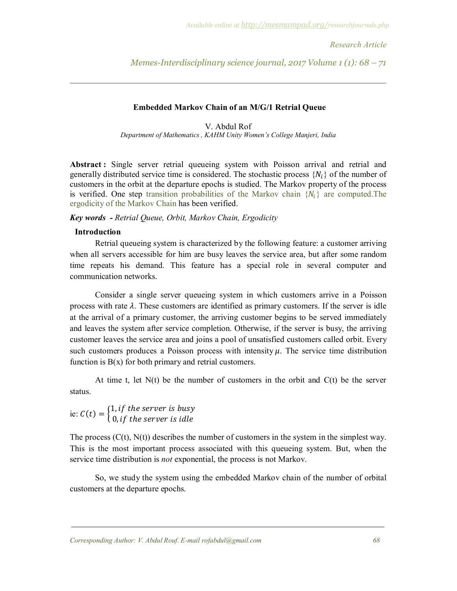*Research Article* 

*Memes-Interdisciplinary science journal, 2017 Volume 1 (1): 68 – 71*

#### **Embedded Markov Chain of an M/G/1 Retrial Queue**

V. Abdul Rof *Department of Mathematics , KAHM Unity Women's College Manjeri, India*

**Abstract :** Single server retrial queueing system with Poisson arrival and retrial and generally distributed service time is considered. The stochastic process  $\{N_i\}$  of the number of customers in the orbit at the departure epochs is studied. The Markov property of the process is verified. One step transition probabilities of the Markov chain  $\{N_i\}$  are computed. The ergodicity of the Markov Chain has been verified.

*Key words - Retrial Queue, Orbit, Markov Chain, Ergodicity*

## **Introduction**

Retrial queueing system is characterized by the following feature: a customer arriving when all servers accessible for him are busy leaves the service area, but after some random time repeats his demand. This feature has a special role in several computer and communication networks.

Consider a single server queueing system in which customers arrive in a Poisson process with rate  $\lambda$ . These customers are identified as primary customers. If the server is idle at the arrival of a primary customer, the arriving customer begins to be served immediately and leaves the system after service completion. Otherwise, if the server is busy, the arriving customer leaves the service area and joins a pool of unsatisfied customers called orbit. Every such customers produces a Poisson process with intensity  $\mu$ . The service time distribution function is  $B(x)$  for both primary and retrial customers.

At time t, let  $N(t)$  be the number of customers in the orbit and  $C(t)$  be the server status.

ie:  $C(t) = \begin{cases} 1, & \text{if the server is busy} \\ 0, & \text{if the answer is idle} \end{cases}$  $0$ , if the server is idle

The process  $(C(t), N(t))$  describes the number of customers in the system in the simplest way. This is the most important process associated with this queueing system. But, when the service time distribution is *not* exponential, the process is not Markov.

So, we study the system using the embedded Markov chain of the number of orbital customers at the departure epochs.

*Corresponding Author: V. Abdul Rouf. E-mail rofabdul@gmail.com 68*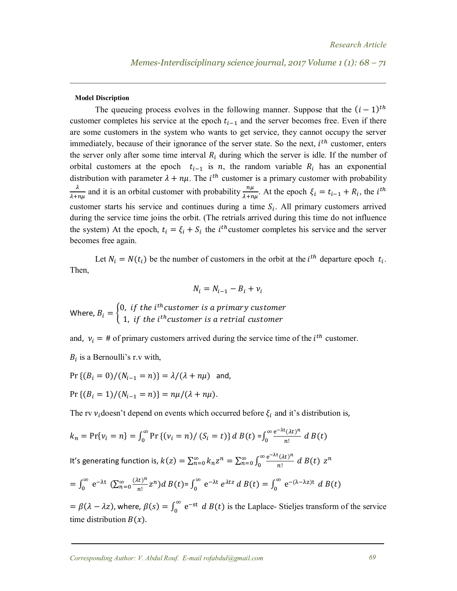#### **Model Discription**

The queueing process evolves in the following manner. Suppose that the  $(i - 1)<sup>th</sup>$ customer completes his service at the epoch  $t_{i-1}$  and the server becomes free. Even if there are some customers in the system who wants to get service, they cannot occupy the server immediately, because of their ignorance of the server state. So the next,  $i^{th}$  customer, enters the server only after some time interval  $R_i$  during which the server is idle. If the number of orbital customers at the epoch  $t_{i-1}$  is *n*, the random variable  $R_i$  has an exponential distribution with parameter  $\lambda + n\mu$ . The *i*<sup>th</sup> customer is a primary customer with probability  $\lambda$  $\frac{\lambda}{\lambda+n\mu}$  and it is an orbital customer with probability  $\frac{n\mu}{\lambda+n\mu}$ . At the epoch  $\xi_i = t_{i-1} + R_i$ , the *i*<sup>th</sup> customer starts his service and continues during a time  $S_i$ . All primary customers arrived during the service time joins the orbit. (The retrials arrived during this time do not influence the system) At the epoch,  $t_i = \xi_i + S_i$  the *i*<sup>th</sup> customer completes his service and the server becomes free again.

Let  $N_i = N(t_i)$  be the number of customers in the orbit at the *i*<sup>th</sup> departure epoch  $t_i$ . Then,

$$
N_i = N_{i-1} - B_i + \nu_i
$$

Where,  $B_i = \begin{cases} 0, & \text{if the } i^{th} \text{ customer is a primary customer} \\ 1, & \text{if the } i^{th} \text{ customer is a partial pattern} \end{cases}$ 1, if the i<sup>th</sup>customer is a retrial customer

and,  $v_i = #$  of primary customers arrived during the service time of the  $i^{th}$  customer.

 $B_i$  is a Bernoulli's r.v with,

$$
\Pr\left\{(B_i = 0)/(N_{i-1} = n)\right\} = \lambda/(\lambda + n\mu) \text{ and,}
$$
\n
$$
\Pr\left\{(B_i = 1)/(N_{i-1} = n)\right\} = n\mu/(\lambda + n\mu).
$$

The rv  $v_i$ doesn't depend on events which occurred before  $\xi_i$  and it's distribution is,

$$
k_n = \Pr\{v_i = n\} = \int_0^\infty \Pr\{(v_i = n) / (S_i = t)\} d B(t) = \int_0^\infty \frac{e^{-\lambda t} (\lambda t)^n}{n!} d B(t)
$$

It's generating function is,  $k(z) = \sum_{n=0}^{\infty} k_n z^n = \sum_{n=0}^{\infty} \int_{0}^{\infty} \frac{e^{-\lambda t} (\lambda t)^n}{n!}$  $\int_{0}^{\infty} \frac{e^{-\lambda t} (\lambda t)^n}{n!} dB(t)$  $\sum_{n=0}^{\infty} k_n z^n = \sum_{n=0}^{\infty} \int_0^{\infty} \frac{e^{-k x} (zt)^n}{n!} dB(t) z^n$ 

$$
= \int_0^\infty e^{-\lambda t} \left( \sum_{n=0}^\infty \frac{(\lambda t)^n}{n!} z^n \right) d B(t) = \int_0^\infty e^{-\lambda t} e^{\lambda t z} d B(t) = \int_0^\infty e^{-(\lambda - \lambda z)t} d B(t)
$$

 $= \beta(\lambda - \lambda z)$ , where,  $\beta(s) = \int_0^\infty e^{-st}$  $\int_{0}^{\infty} e^{-st} dB(t)$  is the Laplace-Stieljes transform of the service time distribution  $B(x)$ .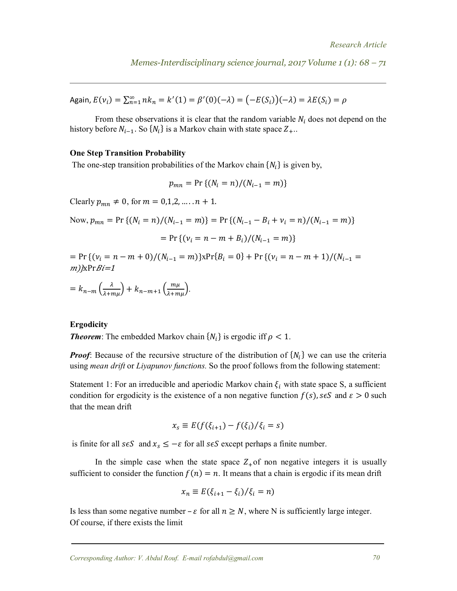*Memes-Interdisciplinary science journal, 2017 Volume 1 (1): 68 – 71*

Again,  $E(v_i) = \sum_{n=1}^{\infty} n k_n = k'(1) = \beta'(0)(-\lambda) = (-E(S_i))(-\lambda) = \lambda E(S_i) = \rho$ 

From these observations it is clear that the random variable  $N_i$  does not depend on the history before  $N_{i-1}$ . So  $\{N_i\}$  is a Markov chain with state space  $Z_+$ .

#### **One Step Transition Probability**

The one-step transition probabilities of the Markov chain  $\{N_i\}$  is given by,

$$
p_{mn} = \Pr\{(N_i = n)/(N_{i-1} = m)\}\
$$

Clearly  $p_{mn} \neq 0$ , for  $m = 0,1,2,..., n + 1$ .

Now, 
$$
p_{mn} = Pr \{ (N_i = n) / (N_{i-1} = m) \} = Pr \{ (N_{i-1} - B_i + v_i = n) / (N_{i-1} = m) \}
$$
  
= Pr  $\{ (v_i = n - m + B_i) / (N_{i-1} = m) \}$ 

 $= Pr \{ (\nu_i = n - m + 0) / (N_{i-1} = m) \} x Pr \{ B_i = 0 \} + Pr \{ (\nu_i = n - m + 1) / (N_{i-1} = 0) \}$  $m)$ <sub>*k*Pr*Bi*=1</sub>

$$
= k_{n-m} \left(\frac{\lambda}{\lambda + m\mu}\right) + k_{n-m+1} \left(\frac{m\mu}{\lambda + m\mu}\right).
$$

## **Ergodicity**

**Theorem**: The embedded Markov chain  $\{N_i\}$  is ergodic iff  $\rho < 1$ .

*Proof*: Because of the recursive structure of the distribution of  $\{N_i\}$  we can use the criteria using *mean drift* or *Liyapunov functions.* So the proof follows from the following statement:

Statement 1: For an irreducible and aperiodic Markov chain  $\xi_i$  with state space S, a sufficient condition for ergodicity is the existence of a non negative function  $f(s)$ ,  $s \in S$  and  $\varepsilon > 0$  such that the mean drift

$$
x_s \equiv E(f(\xi_{i+1}) - f(\xi_i)/\xi_i = s)
$$

is finite for all  $s \in S$  and  $x_s \le -\varepsilon$  for all  $s \in S$  except perhaps a finite number.

In the simple case when the state space  $Z_{+}$  of non negative integers it is usually sufficient to consider the function  $f(n) = n$ . It means that a chain is ergodic if its mean drift

$$
x_n \equiv E(\xi_{i+1} - \xi_i)/\xi_i = n)
$$

Is less than some negative number –  $\varepsilon$  for all  $n \geq N$ , where N is sufficiently large integer. Of course, if there exists the limit